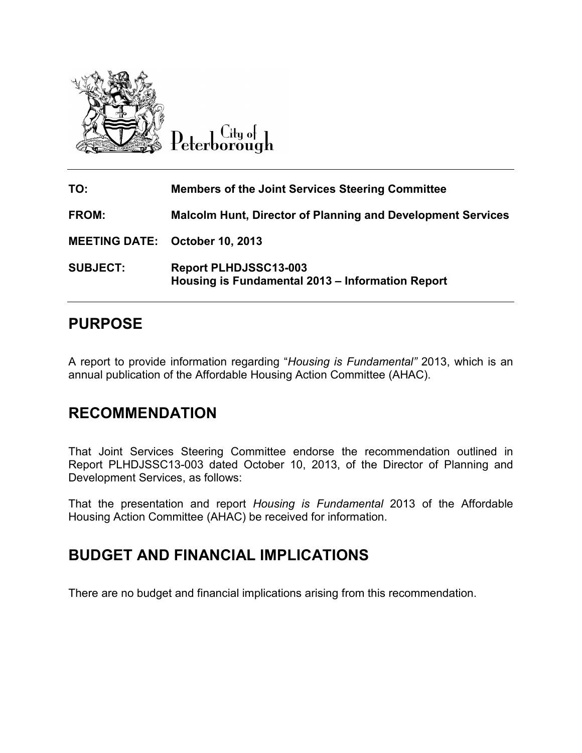

City of Peterborough

| TO:             | <b>Members of the Joint Services Steering Committee</b>                          |
|-----------------|----------------------------------------------------------------------------------|
| <b>FROM:</b>    | <b>Malcolm Hunt, Director of Planning and Development Services</b>               |
|                 | <b>MEETING DATE: October 10, 2013</b>                                            |
| <b>SUBJECT:</b> | <b>Report PLHDJSSC13-003</b><br>Housing is Fundamental 2013 – Information Report |

## **PURPOSE**

A report to provide information regarding "*Housing is Fundamental"* 2013, which is an annual publication of the Affordable Housing Action Committee (AHAC).

## **RECOMMENDATION**

That Joint Services Steering Committee endorse the recommendation outlined in Report PLHDJSSC13-003 dated October 10, 2013, of the Director of Planning and Development Services, as follows:

That the presentation and report *Housing is Fundamental* 2013 of the Affordable Housing Action Committee (AHAC) be received for information.

## **BUDGET AND FINANCIAL IMPLICATIONS**

There are no budget and financial implications arising from this recommendation.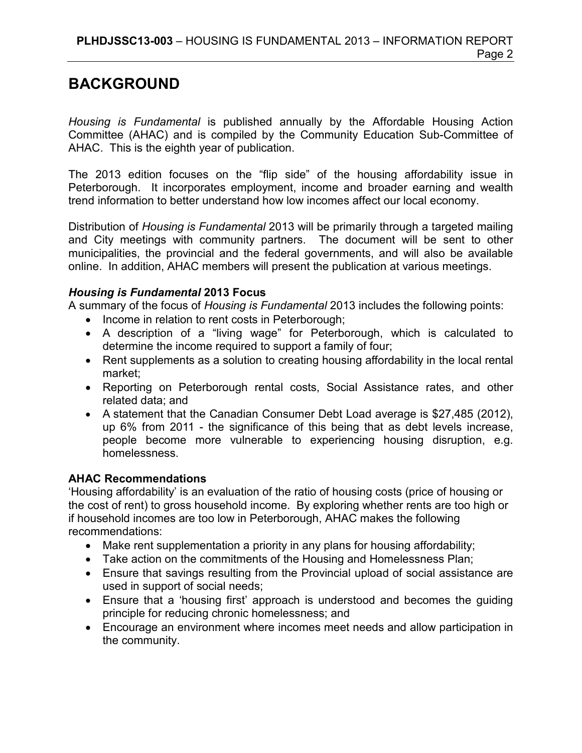# **BACKGROUND**

*Housing is Fundamental* is published annually by the Affordable Housing Action Committee (AHAC) and is compiled by the Community Education Sub-Committee of AHAC. This is the eighth year of publication.

The 2013 edition focuses on the "flip side" of the housing affordability issue in Peterborough. It incorporates employment, income and broader earning and wealth trend information to better understand how low incomes affect our local economy.

Distribution of *Housing is Fundamental* 2013 will be primarily through a targeted mailing and City meetings with community partners. The document will be sent to other municipalities, the provincial and the federal governments, and will also be available online. In addition, AHAC members will present the publication at various meetings.

#### *Housing is Fundamental* **2013 Focus**

A summary of the focus of *Housing is Fundamental* 2013 includes the following points:

- Income in relation to rent costs in Peterborough;
- A description of a "living wage" for Peterborough, which is calculated to determine the income required to support a family of four;
- Rent supplements as a solution to creating housing affordability in the local rental market;
- Reporting on Peterborough rental costs, Social Assistance rates, and other related data; and
- A statement that the Canadian Consumer Debt Load average is \$27,485 (2012), up 6% from 2011 - the significance of this being that as debt levels increase, people become more vulnerable to experiencing housing disruption, e.g. homelessness.

### **AHAC Recommendations**

'Housing affordability' is an evaluation of the ratio of housing costs (price of housing or the cost of rent) to gross household income. By exploring whether rents are too high or if household incomes are too low in Peterborough, AHAC makes the following recommendations:

- Make rent supplementation a priority in any plans for housing affordability;
- Take action on the commitments of the Housing and Homelessness Plan;
- Ensure that savings resulting from the Provincial upload of social assistance are used in support of social needs;
- Ensure that a 'housing first' approach is understood and becomes the guiding principle for reducing chronic homelessness; and
- Encourage an environment where incomes meet needs and allow participation in the community.